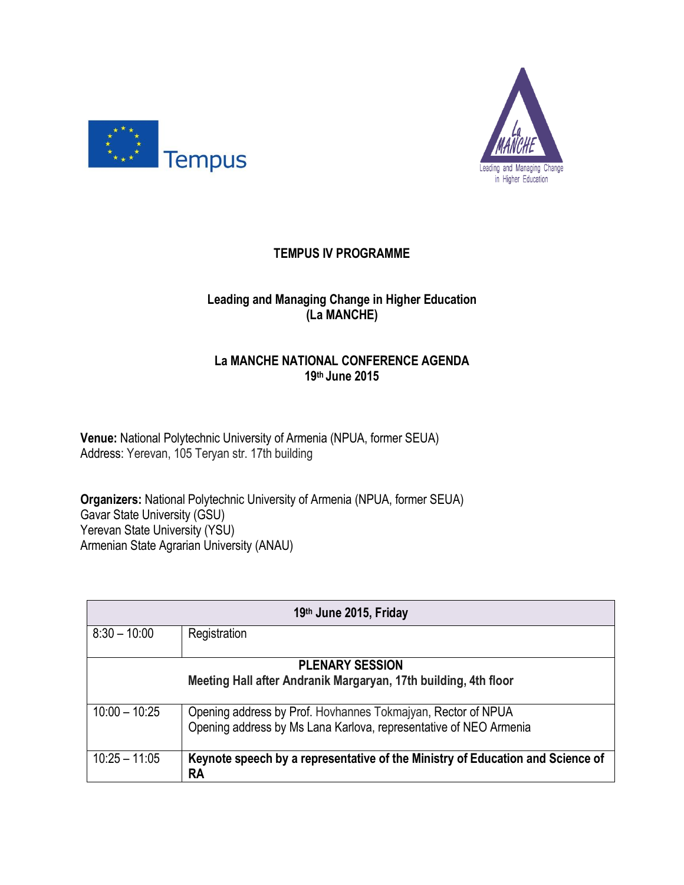



## **TEMPUS IV PROGRAMME**

## **Leading and Managing Change in Higher Education (La MANCHE)**

## **La MANCHE NATIONAL CONFERENCE AGENDA 19th June 2015**

**Venue:** National Polytechnic University of Armenia (NPUA, former SEUA) Address: Yerevan, 105 Teryan str. 17th building

**Organizers:** National Polytechnic University of Armenia (NPUA, former SEUA) Gavar State University (GSU) Yerevan State University (YSU) Armenian State Agrarian University (ANAU)

| 19th June 2015, Friday                                          |                                                                                             |  |
|-----------------------------------------------------------------|---------------------------------------------------------------------------------------------|--|
| $8:30 - 10:00$                                                  | Registration                                                                                |  |
|                                                                 | <b>PLENARY SESSION</b>                                                                      |  |
| Meeting Hall after Andranik Margaryan, 17th building, 4th floor |                                                                                             |  |
| $10:00 - 10:25$                                                 | Opening address by Prof. Hovhannes Tokmajyan, Rector of NPUA                                |  |
|                                                                 | Opening address by Ms Lana Karlova, representative of NEO Armenia                           |  |
| $10:25 - 11:05$                                                 | Keynote speech by a representative of the Ministry of Education and Science of<br><b>RA</b> |  |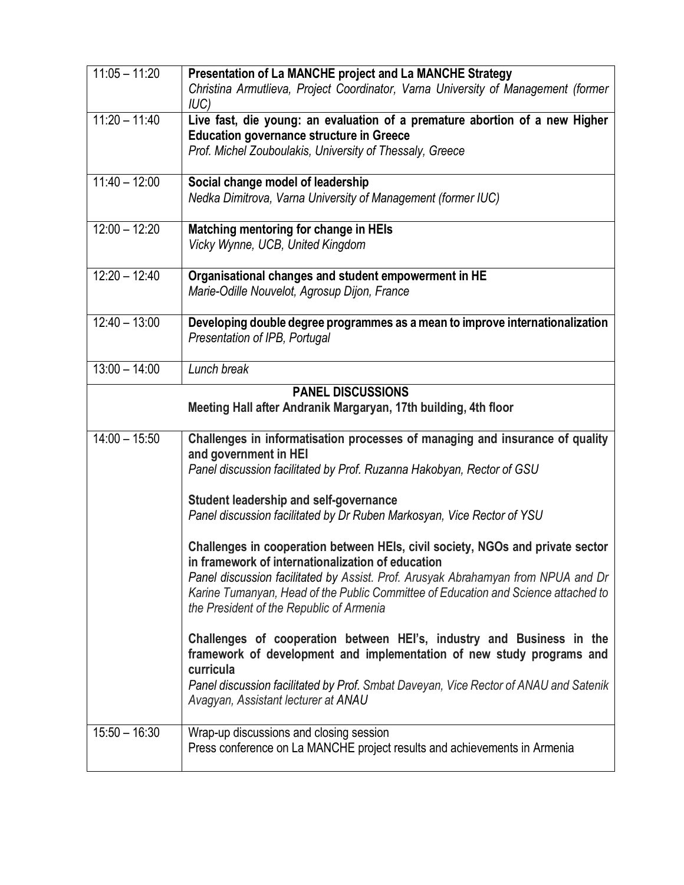| $11:05 - 11:20$                                                                             | Presentation of La MANCHE project and La MANCHE Strategy<br>Christina Armutlieva, Project Coordinator, Varna University of Management (former<br>IUC)                                                                                                                                                                                                      |
|---------------------------------------------------------------------------------------------|------------------------------------------------------------------------------------------------------------------------------------------------------------------------------------------------------------------------------------------------------------------------------------------------------------------------------------------------------------|
| $11:20 - 11:40$                                                                             | Live fast, die young: an evaluation of a premature abortion of a new Higher<br><b>Education governance structure in Greece</b><br>Prof. Michel Zouboulakis, University of Thessaly, Greece                                                                                                                                                                 |
| $11:40 - 12:00$                                                                             | Social change model of leadership<br>Nedka Dimitrova, Varna University of Management (former IUC)                                                                                                                                                                                                                                                          |
| $12:00 - 12:20$                                                                             | Matching mentoring for change in HEIs<br>Vicky Wynne, UCB, United Kingdom                                                                                                                                                                                                                                                                                  |
| $12:20 - 12:40$                                                                             | Organisational changes and student empowerment in HE<br>Marie-Odille Nouvelot, Agrosup Dijon, France                                                                                                                                                                                                                                                       |
| $12:40 - 13:00$                                                                             | Developing double degree programmes as a mean to improve internationalization<br>Presentation of IPB, Portugal                                                                                                                                                                                                                                             |
| $13:00 - 14:00$                                                                             | Lunch break                                                                                                                                                                                                                                                                                                                                                |
| <b>PANEL DISCUSSIONS</b><br>Meeting Hall after Andranik Margaryan, 17th building, 4th floor |                                                                                                                                                                                                                                                                                                                                                            |
| $\overline{14:00} - 15:50$                                                                  | Challenges in informatisation processes of managing and insurance of quality<br>and government in HEI<br>Panel discussion facilitated by Prof. Ruzanna Hakobyan, Rector of GSU                                                                                                                                                                             |
|                                                                                             | Student leadership and self-governance<br>Panel discussion facilitated by Dr Ruben Markosyan, Vice Rector of YSU                                                                                                                                                                                                                                           |
|                                                                                             | Challenges in cooperation between HEIs, civil society, NGOs and private sector<br>in framework of internationalization of education<br>Panel discussion facilitated by Assist. Prof. Arusyak Abrahamyan from NPUA and Dr<br>Karine Tumanyan, Head of the Public Committee of Education and Science attached to<br>the President of the Republic of Armenia |
|                                                                                             | Challenges of cooperation between HEI's, industry and Business in the<br>framework of development and implementation of new study programs and<br>curricula<br>Panel discussion facilitated by Prof. Smbat Daveyan, Vice Rector of ANAU and Satenik<br>Avagyan, Assistant lecturer at ANAU                                                                 |
| $15:50 - 16:30$                                                                             | Wrap-up discussions and closing session<br>Press conference on La MANCHE project results and achievements in Armenia                                                                                                                                                                                                                                       |